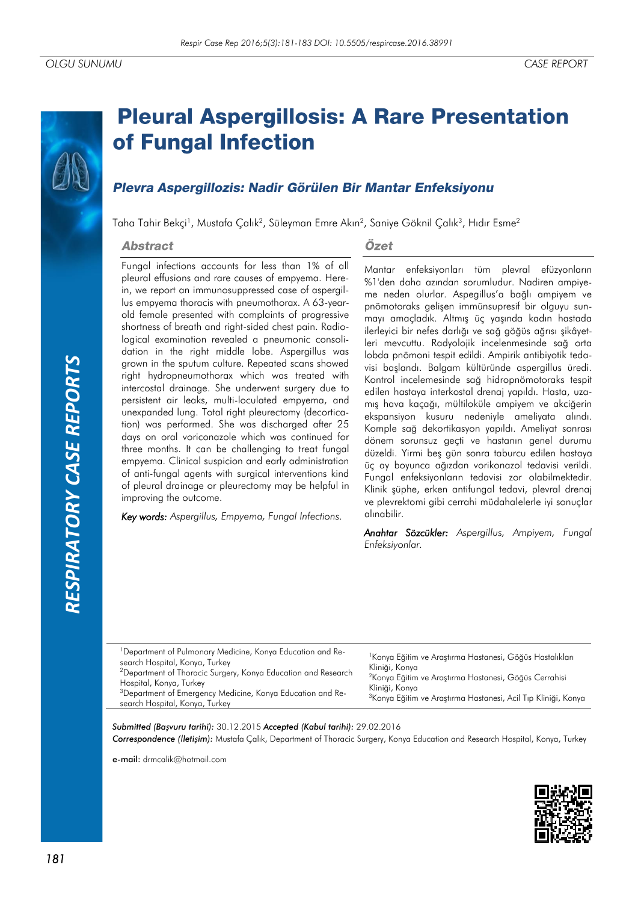# *RESPIRATORY CASE REPORTS*RESPIRATORY CASE REPORTS

# **Pleural Aspergillosis: A Rare Presentation** of Fungal Infection

## Plevra Aspergillozis: Nadir Görülen Bir Mantar Enfeksiyonu

Taha Tahir Bekçi<sup>1</sup>, Mustafa Çalık<sup>2</sup>, Süleyman Emre Akın<sup>2</sup>, Saniye Göknil Çalık<sup>3</sup>, Hıdır Esme<sup>2</sup>

### **Abstract**

### Özet

Fungal infections accounts for less than 1% of all pleural effusions and rare causes of empyema. Herein, we report an immunosuppressed case of aspergillus empyema thoracis with pneumothorax. A 63-yearold female presented with complaints of progressive shortness of breath and right-sided chest pain. Radiological examination revealed a pneumonic consolidation in the right middle lobe. Aspergillus was grown in the sputum culture. Repeated scans showed right hydropneumothorax which was treated with intercostal drainage. She underwent surgery due to persistent air leaks, multi-loculated empyema, and unexpanded lung. Total right pleurectomy (decortication) was performed. She was discharged after 25 days on oral voriconazole which was continued for three months. It can be challenging to treat fungal empyema. Clinical suspicion and early administration of anti-fungal agents with surgical interventions kind of pleural drainage or pleurectomy may be helpful in improving the outcome.

*Key words: Aspergillus, Empyema, Fungal Infections.*

Mantar enfeksiyonları tüm plevral efüzyonların %1'den daha azından sorumludur. Nadiren ampiyeme neden olurlar. Aspegillus'a bağlı ampiyem ve pnömotoraks gelişen immünsupresif bir olguyu sunmayı amaçladık. Altmış üç yaşında kadın hastada ilerleyici bir nefes darlığı ve sağ göğüs ağrısı şikâyetleri mevcuttu. Radyolojik incelenmesinde sağ orta lobda pnömoni tespit edildi. Ampirik antibiyotik tedavisi başlandı. Balgam kültüründe aspergillus üredi. Kontrol incelemesinde sağ hidropnömotoraks tespit edilen hastaya interkostal drenaj yapıldı. Hasta, uzamış hava kaçağı, mültiloküle ampiyem ve akciğerin ekspansiyon kusuru nedeniyle ameliyata alındı. Komple sağ dekortikasyon yapıldı. Ameliyat sonrası dönem sorunsuz geçti ve hastanın genel durumu düzeldi. Yirmi beş gün sonra taburcu edilen hastaya üç ay boyunca ağızdan vorikonazol tedavisi verildi. Fungal enfeksiyonların tedavisi zor olabilmektedir. Klinik şüphe, erken antifungal tedavi, plevral drenaj ve plevrektomi gibi cerrahi müdahalelerle iyi sonuçlar alınabilir.

*Anahtar Sözcükler: Aspergillus, Ampiyem, Fungal Enfeksiyonlar.*

| <sup>1</sup> Department of Pulmonary Medicine, Konya Education and Re-<br>search Hospital, Konya, Turkey<br><sup>2</sup> Department of Thoracic Surgery, Konya Education and Research<br>Hospital, Konya, Turkey<br><sup>3</sup> Department of Emergency Medicine, Konya Education and Re-<br>search Hospital, Konya, Turkey | <sup>1</sup> Konya Eğitim ve Araştırma Hastanesi, Göğüs Hastalıkları<br>Kliniği, Konya<br><sup>2</sup> Konya Eğitim ve Araştırma Hastanesi, Göğüs Cerrahisi<br>Kliniği, Konya<br><sup>3</sup> Konya Eğitim ve Araştırma Hastanesi, Acil Tıp Kliniği, Konya |
|------------------------------------------------------------------------------------------------------------------------------------------------------------------------------------------------------------------------------------------------------------------------------------------------------------------------------|------------------------------------------------------------------------------------------------------------------------------------------------------------------------------------------------------------------------------------------------------------|
|                                                                                                                                                                                                                                                                                                                              |                                                                                                                                                                                                                                                            |

### *Submitted (Başvuru tarihi):* 30.12.2015 *Accepted (Kabul tarihi):* 29.02.2016

*Correspondence (İletişim):* Mustafa Çalık, Department of Thoracic Surgery, Konya Education and Research Hospital, Konya, Turkey

e-mail: drmcalik@hotmail.com

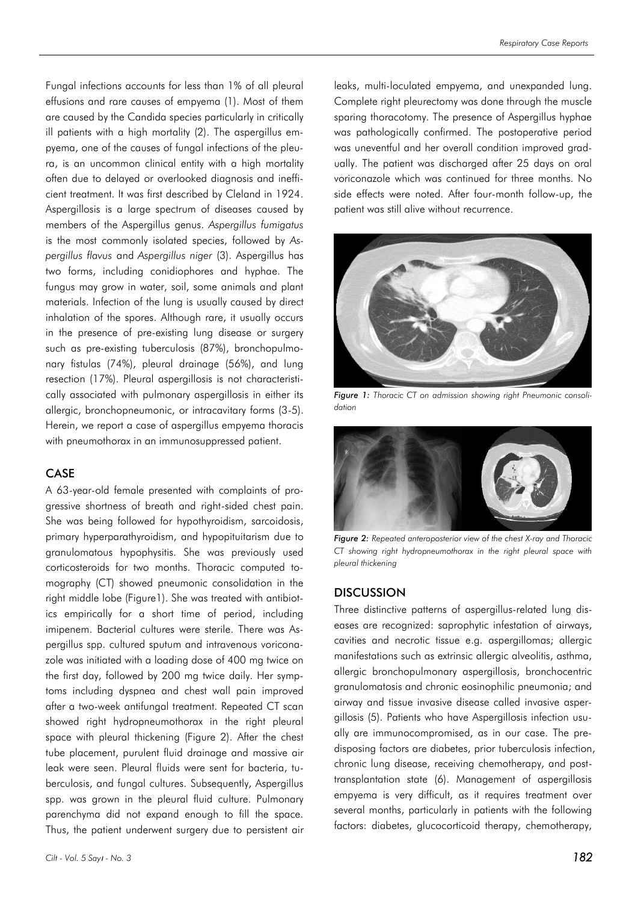Fungal infections accounts for less than 1% of all pleural effusions and rare causes of empyema (1). Most of them are caused by the Candida species particularly in critically ill patients with a high mortality (2). The aspergillus empyema, one of the causes of fungal infections of the pleura, is an uncommon clinical entity with a high mortality often due to delayed or overlooked diagnosis and inefficient treatment. It was first described by Cleland in 1924. Aspergillosis is a large spectrum of diseases caused by members of the Aspergillus genus. *Aspergillus fumigatus* is the most commonly isolated species, followed by *Aspergillus flavus* and *Aspergillus niger* (3). Aspergillus has two forms, including conidiophores and hyphae. The fungus may grow in water, soil, some animals and plant materials. Infection of the lung is usually caused by direct inhalation of the spores. Although rare, it usually occurs in the presence of pre-existing lung disease or surgery such as pre-existing tuberculosis (87%), bronchopulmonary fistulas (74%), pleural drainage (56%), and lung resection (17%). Pleural aspergillosis is not characteristically associated with pulmonary aspergillosis in either its allergic, bronchopneumonic, or intracavitary forms (3-5). Herein, we report a case of aspergillus empyema thoracis with pneumothorax in an immunosuppressed patient.

### CASE

A 63-year-old female presented with complaints of progressive shortness of breath and right-sided chest pain. She was being followed for hypothyroidism, sarcoidosis, primary hyperparathyroidism, and hypopituitarism due to granulomatous hypophysitis. She was previously used corticosteroids for two months. Thoracic computed tomography (CT) showed pneumonic consolidation in the right middle lobe (Figure1). She was treated with antibiotics empirically for a short time of period, including imipenem. Bacterial cultures were sterile. There was Aspergillus spp. cultured sputum and intravenous voriconazole was initiated with a loading dose of 400 mg twice on the first day, followed by 200 mg twice daily. Her symptoms including dyspnea and chest wall pain improved after a two-week antifungal treatment. Repeated CT scan showed right hydropneumothorax in the right pleural space with pleural thickening (Figure 2). After the chest tube placement, purulent fluid drainage and massive air leak were seen. Pleural fluids were sent for bacteria, tuberculosis, and fungal cultures. Subsequently, Aspergillus spp. was grown in the pleural fluid culture. Pulmonary parenchyma did not expand enough to fill the space. Thus, the patient underwent surgery due to persistent air leaks, multi-loculated empyema, and unexpanded lung. Complete right pleurectomy was done through the muscle sparing thoracotomy. The presence of Aspergillus hyphae was pathologically confirmed. The postoperative period was uneventful and her overall condition improved gradually. The patient was discharged after 25 days on oral voriconazole which was continued for three months. No side effects were noted. After four-month follow-up, the patient was still alive without recurrence.



*Figure 1: Thoracic CT on admission showing right Pneumonic consolidation*



*Figure 2: Repeated anteroposterior view of the chest X-ray and Thoracic CT showing right hydropneumothorax in the right pleural space with pleural thickening*

### **DISCUSSION**

Three distinctive patterns of aspergillus-related lung diseases are recognized: saprophytic infestation of airways, cavities and necrotic tissue e.g. aspergillomas; allergic manifestations such as extrinsic allergic alveolitis, asthma, allergic bronchopulmonary aspergillosis, bronchocentric granulomatosis and chronic eosinophilic pneumonia; and airway and tissue invasive disease called invasive aspergillosis (5). Patients who have Aspergillosis infection usually are immunocompromised, as in our case. The predisposing factors are diabetes, prior tuberculosis infection, chronic lung disease, receiving chemotherapy, and posttransplantation state (6). Management of aspergillosis empyema is very difficult, as it requires treatment over several months, particularly in patients with the following factors: diabetes, glucocorticoid therapy, chemotherapy,